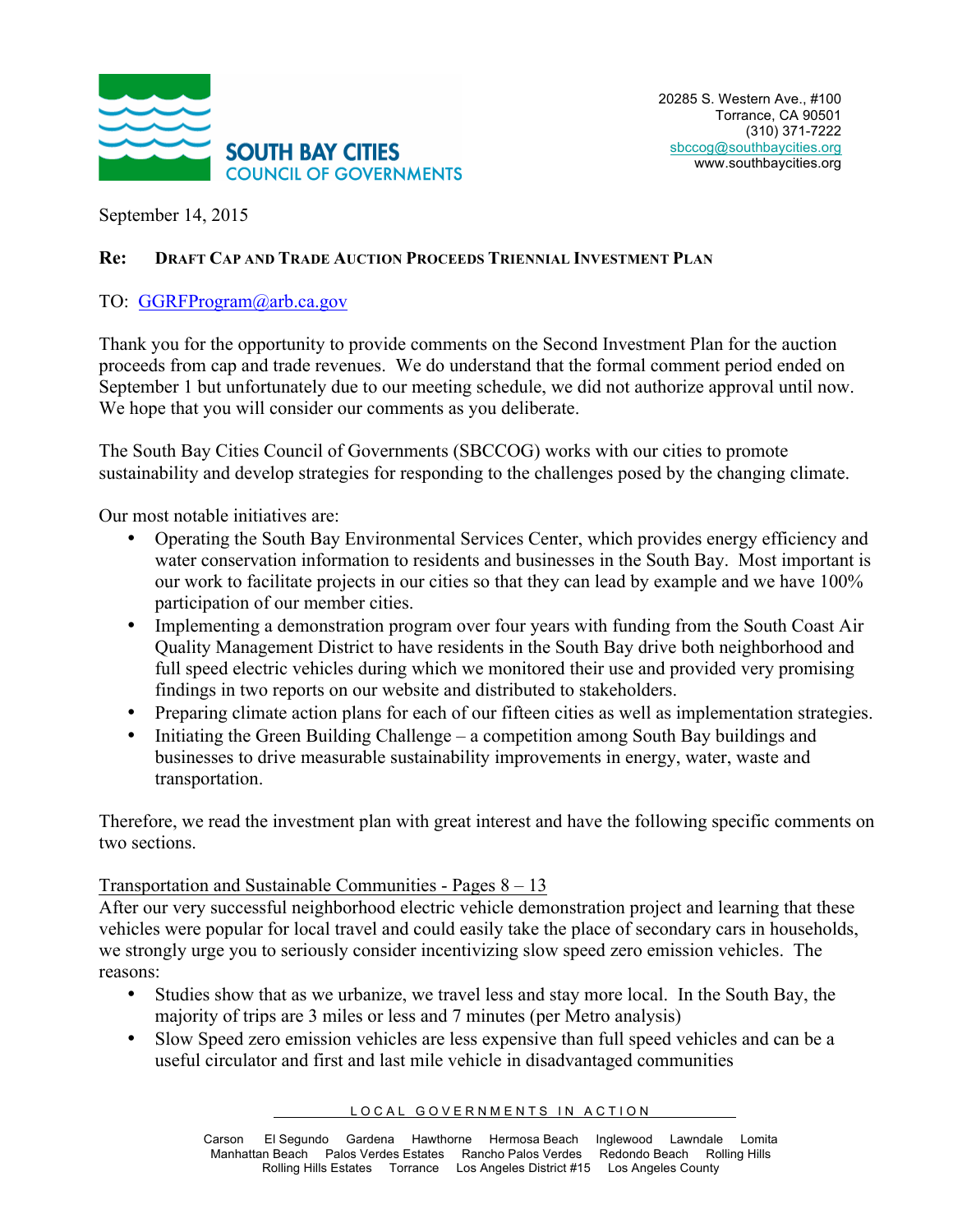

September 14, 2015

# **Re: DRAFT CAP AND TRADE AUCTION PROCEEDS TRIENNIAL INVESTMENT PLAN**

## TO: GGRFProgram@arb.ca.gov

Thank you for the opportunity to provide comments on the Second Investment Plan for the auction proceeds from cap and trade revenues. We do understand that the formal comment period ended on September 1 but unfortunately due to our meeting schedule, we did not authorize approval until now. We hope that you will consider our comments as you deliberate.

The South Bay Cities Council of Governments (SBCCOG) works with our cities to promote sustainability and develop strategies for responding to the challenges posed by the changing climate.

Our most notable initiatives are:

- Operating the South Bay Environmental Services Center, which provides energy efficiency and water conservation information to residents and businesses in the South Bay. Most important is our work to facilitate projects in our cities so that they can lead by example and we have 100% participation of our member cities.
- Implementing a demonstration program over four years with funding from the South Coast Air Quality Management District to have residents in the South Bay drive both neighborhood and full speed electric vehicles during which we monitored their use and provided very promising findings in two reports on our website and distributed to stakeholders.
- Preparing climate action plans for each of our fifteen cities as well as implementation strategies.
- Initiating the Green Building Challenge a competition among South Bay buildings and businesses to drive measurable sustainability improvements in energy, water, waste and transportation.

Therefore, we read the investment plan with great interest and have the following specific comments on two sections.

### Transportation and Sustainable Communities - Pages 8 – 13

After our very successful neighborhood electric vehicle demonstration project and learning that these vehicles were popular for local travel and could easily take the place of secondary cars in households, we strongly urge you to seriously consider incentivizing slow speed zero emission vehicles. The reasons:

- Studies show that as we urbanize, we travel less and stay more local. In the South Bay, the majority of trips are 3 miles or less and 7 minutes (per Metro analysis)
- Slow Speed zero emission vehicles are less expensive than full speed vehicles and can be a useful circulator and first and last mile vehicle in disadvantaged communities

#### LOCAL GOVERNMENTS IN ACTION